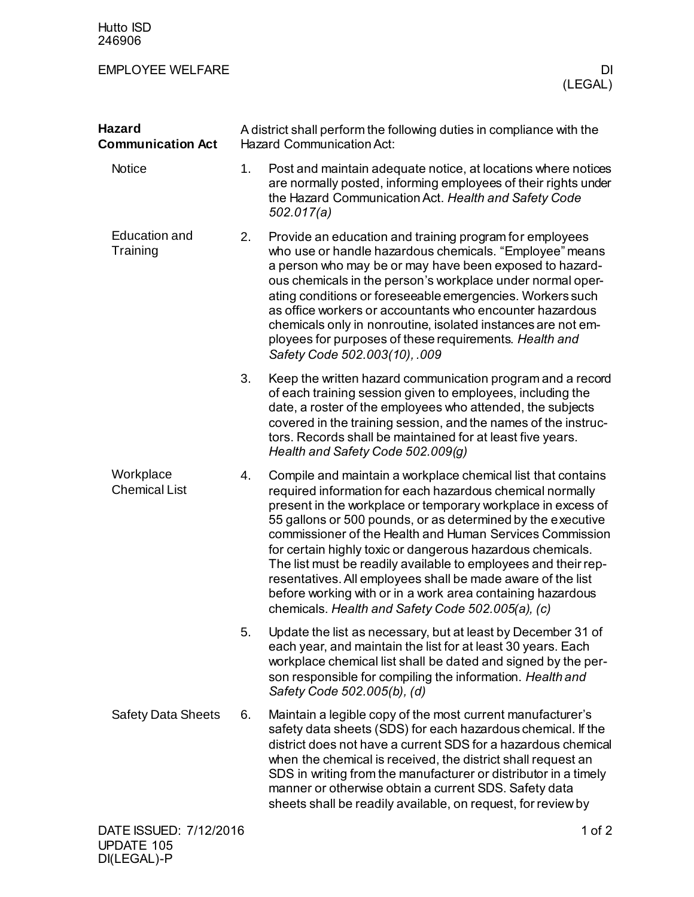## EMPLOYEE WELFARE DI

| <b>Hazard</b><br><b>Communication Act</b> | A district shall perform the following duties in compliance with the<br><b>Hazard Communication Act:</b> |                                                                                                                                                                                                                                                                                                                                                                                                                                                                                                                                                                                                                                        |
|-------------------------------------------|----------------------------------------------------------------------------------------------------------|----------------------------------------------------------------------------------------------------------------------------------------------------------------------------------------------------------------------------------------------------------------------------------------------------------------------------------------------------------------------------------------------------------------------------------------------------------------------------------------------------------------------------------------------------------------------------------------------------------------------------------------|
| <b>Notice</b>                             | 1.                                                                                                       | Post and maintain adequate notice, at locations where notices<br>are normally posted, informing employees of their rights under<br>the Hazard Communication Act. Health and Safety Code<br>502.017(a)                                                                                                                                                                                                                                                                                                                                                                                                                                  |
| <b>Education and</b><br>Training          | 2.                                                                                                       | Provide an education and training program for employees<br>who use or handle hazardous chemicals. "Employee" means<br>a person who may be or may have been exposed to hazard-<br>ous chemicals in the person's workplace under normal oper-<br>ating conditions or foreseeable emergencies. Workers such<br>as office workers or accountants who encounter hazardous<br>chemicals only in nonroutine, isolated instances are not em-<br>ployees for purposes of these requirements. Health and<br>Safety Code 502.003(10), .009                                                                                                        |
|                                           | 3.                                                                                                       | Keep the written hazard communication program and a record<br>of each training session given to employees, including the<br>date, a roster of the employees who attended, the subjects<br>covered in the training session, and the names of the instruc-<br>tors. Records shall be maintained for at least five years.<br>Health and Safety Code 502.009(g)                                                                                                                                                                                                                                                                            |
| Workplace<br><b>Chemical List</b>         | 4.                                                                                                       | Compile and maintain a workplace chemical list that contains<br>required information for each hazardous chemical normally<br>present in the workplace or temporary workplace in excess of<br>55 gallons or 500 pounds, or as determined by the executive<br>commissioner of the Health and Human Services Commission<br>for certain highly toxic or dangerous hazardous chemicals.<br>The list must be readily available to employees and their rep-<br>resentatives. All employees shall be made aware of the list<br>before working with or in a work area containing hazardous<br>chemicals. Health and Safety Code 502.005(a), (c) |
|                                           | 5.                                                                                                       | Update the list as necessary, but at least by December 31 of<br>each year, and maintain the list for at least 30 years. Each<br>workplace chemical list shall be dated and signed by the per-<br>son responsible for compiling the information. Health and<br>Safety Code 502.005(b), (d)                                                                                                                                                                                                                                                                                                                                              |
| <b>Safety Data Sheets</b>                 | 6.                                                                                                       | Maintain a legible copy of the most current manufacturer's<br>safety data sheets (SDS) for each hazardous chemical. If the<br>district does not have a current SDS for a hazardous chemical<br>when the chemical is received, the district shall request an<br>SDS in writing from the manufacturer or distributor in a timely<br>manner or otherwise obtain a current SDS. Safety data<br>sheets shall be readily available, on request, for review by                                                                                                                                                                                |
| DATE ISSUED: 7/12/2016                    |                                                                                                          | 1 of $2$                                                                                                                                                                                                                                                                                                                                                                                                                                                                                                                                                                                                                               |